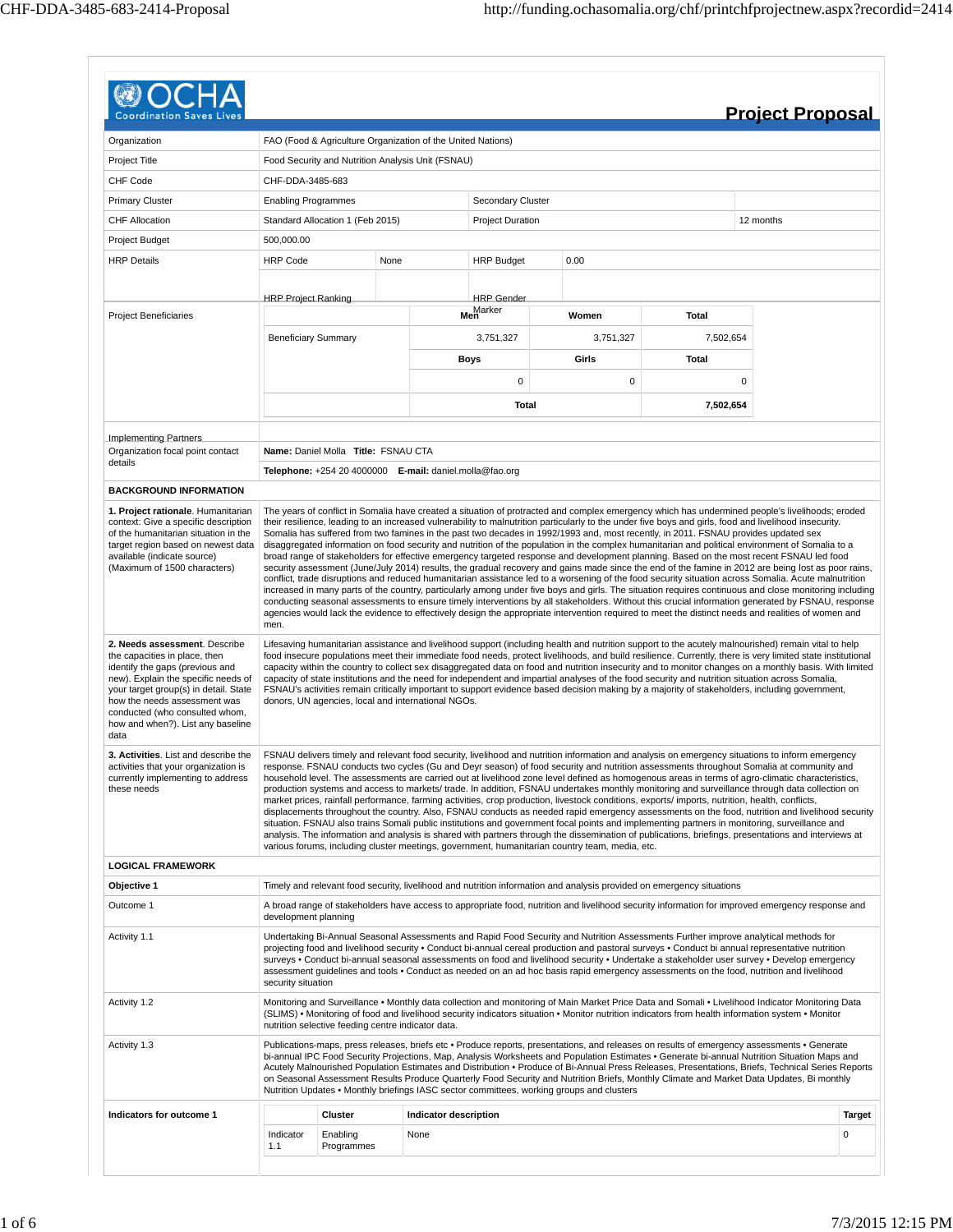|                                                                                                                                                                                                                                                                                                  |                            |                                                    |      |                                                             |                         |                                                                                                                                                                                                                                                                                                                                                                                                                                                                                                                                                                                                                                                                                                                                                                                                                                                                                                                                                                                                                                                                                                                                                                                                                                                                                                                 |              |           | <b>Project Proposal</b> |               |
|--------------------------------------------------------------------------------------------------------------------------------------------------------------------------------------------------------------------------------------------------------------------------------------------------|----------------------------|----------------------------------------------------|------|-------------------------------------------------------------|-------------------------|-----------------------------------------------------------------------------------------------------------------------------------------------------------------------------------------------------------------------------------------------------------------------------------------------------------------------------------------------------------------------------------------------------------------------------------------------------------------------------------------------------------------------------------------------------------------------------------------------------------------------------------------------------------------------------------------------------------------------------------------------------------------------------------------------------------------------------------------------------------------------------------------------------------------------------------------------------------------------------------------------------------------------------------------------------------------------------------------------------------------------------------------------------------------------------------------------------------------------------------------------------------------------------------------------------------------|--------------|-----------|-------------------------|---------------|
| Organization                                                                                                                                                                                                                                                                                     |                            |                                                    |      | FAO (Food & Agriculture Organization of the United Nations) |                         |                                                                                                                                                                                                                                                                                                                                                                                                                                                                                                                                                                                                                                                                                                                                                                                                                                                                                                                                                                                                                                                                                                                                                                                                                                                                                                                 |              |           |                         |               |
|                                                                                                                                                                                                                                                                                                  |                            |                                                    |      |                                                             |                         |                                                                                                                                                                                                                                                                                                                                                                                                                                                                                                                                                                                                                                                                                                                                                                                                                                                                                                                                                                                                                                                                                                                                                                                                                                                                                                                 |              |           |                         |               |
| Project Title                                                                                                                                                                                                                                                                                    |                            |                                                    |      | Food Security and Nutrition Analysis Unit (FSNAU)           |                         |                                                                                                                                                                                                                                                                                                                                                                                                                                                                                                                                                                                                                                                                                                                                                                                                                                                                                                                                                                                                                                                                                                                                                                                                                                                                                                                 |              |           |                         |               |
| CHF Code                                                                                                                                                                                                                                                                                         | CHF-DDA-3485-683           |                                                    |      |                                                             |                         |                                                                                                                                                                                                                                                                                                                                                                                                                                                                                                                                                                                                                                                                                                                                                                                                                                                                                                                                                                                                                                                                                                                                                                                                                                                                                                                 |              |           |                         |               |
| <b>Primary Cluster</b>                                                                                                                                                                                                                                                                           | <b>Enabling Programmes</b> |                                                    |      |                                                             | Secondary Cluster       |                                                                                                                                                                                                                                                                                                                                                                                                                                                                                                                                                                                                                                                                                                                                                                                                                                                                                                                                                                                                                                                                                                                                                                                                                                                                                                                 |              |           |                         |               |
| <b>CHF Allocation</b>                                                                                                                                                                                                                                                                            |                            | Standard Allocation 1 (Feb 2015)                   |      |                                                             | <b>Project Duration</b> |                                                                                                                                                                                                                                                                                                                                                                                                                                                                                                                                                                                                                                                                                                                                                                                                                                                                                                                                                                                                                                                                                                                                                                                                                                                                                                                 |              |           | 12 months               |               |
| Project Budget                                                                                                                                                                                                                                                                                   | 500,000.00                 |                                                    |      |                                                             |                         |                                                                                                                                                                                                                                                                                                                                                                                                                                                                                                                                                                                                                                                                                                                                                                                                                                                                                                                                                                                                                                                                                                                                                                                                                                                                                                                 |              |           |                         |               |
| <b>HRP Details</b>                                                                                                                                                                                                                                                                               | <b>HRP Code</b>            |                                                    | None |                                                             | <b>HRP Budget</b>       | 0.00                                                                                                                                                                                                                                                                                                                                                                                                                                                                                                                                                                                                                                                                                                                                                                                                                                                                                                                                                                                                                                                                                                                                                                                                                                                                                                            |              |           |                         |               |
|                                                                                                                                                                                                                                                                                                  |                            |                                                    |      |                                                             |                         |                                                                                                                                                                                                                                                                                                                                                                                                                                                                                                                                                                                                                                                                                                                                                                                                                                                                                                                                                                                                                                                                                                                                                                                                                                                                                                                 |              |           |                         |               |
|                                                                                                                                                                                                                                                                                                  | <b>HRP Project Ranking</b> |                                                    |      |                                                             | <b>HRP</b> Gender       |                                                                                                                                                                                                                                                                                                                                                                                                                                                                                                                                                                                                                                                                                                                                                                                                                                                                                                                                                                                                                                                                                                                                                                                                                                                                                                                 |              |           |                         |               |
| <b>Project Beneficiaries</b>                                                                                                                                                                                                                                                                     |                            |                                                    |      |                                                             | Men<br>Men              | Women                                                                                                                                                                                                                                                                                                                                                                                                                                                                                                                                                                                                                                                                                                                                                                                                                                                                                                                                                                                                                                                                                                                                                                                                                                                                                                           | Total        |           |                         |               |
|                                                                                                                                                                                                                                                                                                  | <b>Beneficiary Summary</b> |                                                    |      |                                                             | 3,751,327               | 3,751,327                                                                                                                                                                                                                                                                                                                                                                                                                                                                                                                                                                                                                                                                                                                                                                                                                                                                                                                                                                                                                                                                                                                                                                                                                                                                                                       | 7,502,654    |           |                         |               |
|                                                                                                                                                                                                                                                                                                  |                            |                                                    |      |                                                             | <b>Boys</b>             | Girls                                                                                                                                                                                                                                                                                                                                                                                                                                                                                                                                                                                                                                                                                                                                                                                                                                                                                                                                                                                                                                                                                                                                                                                                                                                                                                           | <b>Total</b> |           |                         |               |
|                                                                                                                                                                                                                                                                                                  |                            |                                                    |      |                                                             |                         |                                                                                                                                                                                                                                                                                                                                                                                                                                                                                                                                                                                                                                                                                                                                                                                                                                                                                                                                                                                                                                                                                                                                                                                                                                                                                                                 |              |           |                         |               |
|                                                                                                                                                                                                                                                                                                  |                            |                                                    |      |                                                             | $\mathbf 0$             | 0                                                                                                                                                                                                                                                                                                                                                                                                                                                                                                                                                                                                                                                                                                                                                                                                                                                                                                                                                                                                                                                                                                                                                                                                                                                                                                               |              | $\pmb{0}$ |                         |               |
|                                                                                                                                                                                                                                                                                                  |                            |                                                    |      |                                                             | Total                   |                                                                                                                                                                                                                                                                                                                                                                                                                                                                                                                                                                                                                                                                                                                                                                                                                                                                                                                                                                                                                                                                                                                                                                                                                                                                                                                 | 7,502,654    |           |                         |               |
|                                                                                                                                                                                                                                                                                                  |                            |                                                    |      |                                                             |                         |                                                                                                                                                                                                                                                                                                                                                                                                                                                                                                                                                                                                                                                                                                                                                                                                                                                                                                                                                                                                                                                                                                                                                                                                                                                                                                                 |              |           |                         |               |
| <b>Implementing Partners</b>                                                                                                                                                                                                                                                                     |                            | Name: Daniel Molla Title: FSNAU CTA                |      |                                                             |                         |                                                                                                                                                                                                                                                                                                                                                                                                                                                                                                                                                                                                                                                                                                                                                                                                                                                                                                                                                                                                                                                                                                                                                                                                                                                                                                                 |              |           |                         |               |
| Organization focal point contact<br>details                                                                                                                                                                                                                                                      |                            |                                                    |      |                                                             |                         |                                                                                                                                                                                                                                                                                                                                                                                                                                                                                                                                                                                                                                                                                                                                                                                                                                                                                                                                                                                                                                                                                                                                                                                                                                                                                                                 |              |           |                         |               |
|                                                                                                                                                                                                                                                                                                  |                            |                                                    |      | Telephone: +254 20 4000000 E-mail: daniel.molla@fao.org     |                         |                                                                                                                                                                                                                                                                                                                                                                                                                                                                                                                                                                                                                                                                                                                                                                                                                                                                                                                                                                                                                                                                                                                                                                                                                                                                                                                 |              |           |                         |               |
| <b>BACKGROUND INFORMATION</b>                                                                                                                                                                                                                                                                    |                            |                                                    |      |                                                             |                         |                                                                                                                                                                                                                                                                                                                                                                                                                                                                                                                                                                                                                                                                                                                                                                                                                                                                                                                                                                                                                                                                                                                                                                                                                                                                                                                 |              |           |                         |               |
| target region based on newest data<br>available (indicate source)<br>(Maximum of 1500 characters)                                                                                                                                                                                                | men.                       |                                                    |      |                                                             |                         | Somalia has suffered from two famines in the past two decades in 1992/1993 and, most recently, in 2011. FSNAU provides updated sex<br>disaggregated information on food security and nutrition of the population in the complex humanitarian and political environment of Somalia to a<br>broad range of stakeholders for effective emergency targeted response and development planning. Based on the most recent FSNAU led food<br>security assessment (June/July 2014) results, the gradual recovery and gains made since the end of the famine in 2012 are being lost as poor rains,<br>conflict, trade disruptions and reduced humanitarian assistance led to a worsening of the food security situation across Somalia. Acute malnutrition<br>increased in many parts of the country, particularly among under five boys and girls. The situation requires continuous and close monitoring including<br>conducting seasonal assessments to ensure timely interventions by all stakeholders. Without this crucial information generated by FSNAU, response<br>agencies would lack the evidence to effectively design the appropriate intervention required to meet the distinct needs and realities of women and                                                                                           |              |           |                         |               |
| 2. Needs assessment. Describe<br>the capacities in place, then<br>identify the gaps (previous and<br>new). Explain the specific needs of<br>your target group(s) in detail. State<br>how the needs assessment was<br>conducted (who consulted whom,<br>how and when?). List any baseline<br>data |                            |                                                    |      | donors, UN agencies, local and international NGOs.          |                         | Lifesaving humanitarian assistance and livelihood support (including health and nutrition support to the acutely malnourished) remain vital to help<br>food insecure populations meet their immediate food needs, protect livelihoods, and build resilience. Currently, there is very limited state institutional<br>capacity within the country to collect sex disaggregated data on food and nutrition insecurity and to monitor changes on a monthly basis. With limited<br>capacity of state institutions and the need for independent and impartial analyses of the food security and nutrition situation across Somalia,<br>FSNAU's activities remain critically important to support evidence based decision making by a majority of stakeholders, including government,                                                                                                                                                                                                                                                                                                                                                                                                                                                                                                                                 |              |           |                         |               |
| 3. Activities. List and describe the<br>activities that your organization is<br>currently implementing to address<br>these needs                                                                                                                                                                 |                            |                                                    |      |                                                             |                         | FSNAU delivers timely and relevant food security, livelihood and nutrition information and analysis on emergency situations to inform emergency<br>response. FSNAU conducts two cycles (Gu and Deyr season) of food security and nutrition assessments throughout Somalia at community and<br>household level. The assessments are carried out at livelihood zone level defined as homogenous areas in terms of agro-climatic characteristics,<br>production systems and access to markets/trade. In addition, FSNAU undertakes monthly monitoring and surveillance through data collection on<br>market prices, rainfall performance, farming activities, crop production, livestock conditions, exports/ imports, nutrition, health, conflicts,<br>displacements throughout the country. Also, FSNAU conducts as needed rapid emergency assessments on the food, nutrition and livelihood security<br>situation. FSNAU also trains Somali public institutions and government focal points and implementing partners in monitoring, surveillance and<br>analysis. The information and analysis is shared with partners through the dissemination of publications, briefings, presentations and interviews at<br>various forums, including cluster meetings, government, humanitarian country team, media, etc. |              |           |                         |               |
| <b>LOGICAL FRAMEWORK</b>                                                                                                                                                                                                                                                                         |                            |                                                    |      |                                                             |                         |                                                                                                                                                                                                                                                                                                                                                                                                                                                                                                                                                                                                                                                                                                                                                                                                                                                                                                                                                                                                                                                                                                                                                                                                                                                                                                                 |              |           |                         |               |
| Objective 1                                                                                                                                                                                                                                                                                      |                            |                                                    |      |                                                             |                         | Timely and relevant food security, livelihood and nutrition information and analysis provided on emergency situations                                                                                                                                                                                                                                                                                                                                                                                                                                                                                                                                                                                                                                                                                                                                                                                                                                                                                                                                                                                                                                                                                                                                                                                           |              |           |                         |               |
| Outcome 1                                                                                                                                                                                                                                                                                        | development planning       |                                                    |      |                                                             |                         | A broad range of stakeholders have access to appropriate food, nutrition and livelihood security information for improved emergency response and                                                                                                                                                                                                                                                                                                                                                                                                                                                                                                                                                                                                                                                                                                                                                                                                                                                                                                                                                                                                                                                                                                                                                                |              |           |                         |               |
| Activity 1.1                                                                                                                                                                                                                                                                                     | security situation         |                                                    |      |                                                             |                         | Undertaking Bi-Annual Seasonal Assessments and Rapid Food Security and Nutrition Assessments Further improve analytical methods for<br>projecting food and livelihood security . Conduct bi-annual cereal production and pastoral surveys . Conduct bi annual representative nutrition<br>surveys • Conduct bi-annual seasonal assessments on food and livelihood security • Undertake a stakeholder user survey • Develop emergency<br>assessment guidelines and tools . Conduct as needed on an ad hoc basis rapid emergency assessments on the food, nutrition and livelihood                                                                                                                                                                                                                                                                                                                                                                                                                                                                                                                                                                                                                                                                                                                                |              |           |                         |               |
| Activity 1.2                                                                                                                                                                                                                                                                                     |                            | nutrition selective feeding centre indicator data. |      |                                                             |                         | Monitoring and Surveillance • Monthly data collection and monitoring of Main Market Price Data and Somali • Livelihood Indicator Monitoring Data<br>(SLIMS) • Monitoring of food and livelihood security indicators situation • Monitor nutrition indicators from health information system • Monitor                                                                                                                                                                                                                                                                                                                                                                                                                                                                                                                                                                                                                                                                                                                                                                                                                                                                                                                                                                                                           |              |           |                         |               |
| Activity 1.3                                                                                                                                                                                                                                                                                     |                            |                                                    |      |                                                             |                         | Publications-maps, press releases, briefs etc • Produce reports, presentations, and releases on results of emergency assessments • Generate<br>bi-annual IPC Food Security Projections, Map, Analysis Worksheets and Population Estimates • Generate bi-annual Nutrition Situation Maps and<br>Acutely Malnourished Population Estimates and Distribution • Produce of Bi-Annual Press Releases, Presentations, Briefs, Technical Series Reports<br>on Seasonal Assessment Results Produce Quarterly Food Security and Nutrition Briefs, Monthly Climate and Market Data Updates, Bi monthly<br>Nutrition Updates • Monthly briefings IASC sector committees, working groups and clusters                                                                                                                                                                                                                                                                                                                                                                                                                                                                                                                                                                                                                       |              |           |                         |               |
| Indicators for outcome 1                                                                                                                                                                                                                                                                         |                            | <b>Cluster</b>                                     |      | Indicator description                                       |                         |                                                                                                                                                                                                                                                                                                                                                                                                                                                                                                                                                                                                                                                                                                                                                                                                                                                                                                                                                                                                                                                                                                                                                                                                                                                                                                                 |              |           |                         | <b>Target</b> |
|                                                                                                                                                                                                                                                                                                  | Indicator                  | Enabling                                           |      | None                                                        |                         |                                                                                                                                                                                                                                                                                                                                                                                                                                                                                                                                                                                                                                                                                                                                                                                                                                                                                                                                                                                                                                                                                                                                                                                                                                                                                                                 |              |           |                         | 0             |
|                                                                                                                                                                                                                                                                                                  | 1.1                        | Programmes                                         |      |                                                             |                         |                                                                                                                                                                                                                                                                                                                                                                                                                                                                                                                                                                                                                                                                                                                                                                                                                                                                                                                                                                                                                                                                                                                                                                                                                                                                                                                 |              |           |                         |               |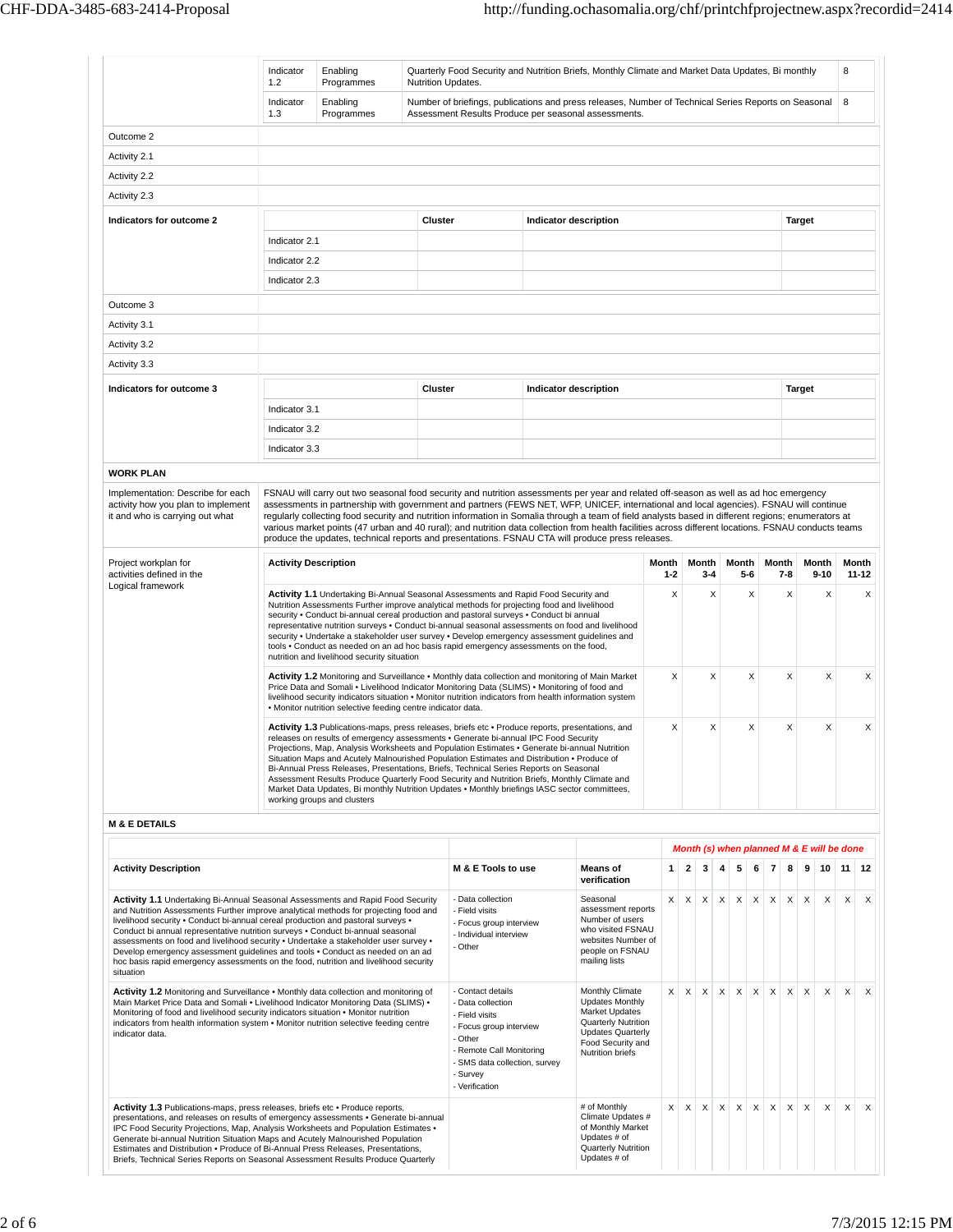$\overline{1}$ 

|                                                                                                                                                                                                                                                                                                                                                                                                                                                                                                                                                                                                                              | 8<br>Indicator<br>Quarterly Food Security and Nutrition Briefs, Monthly Climate and Market Data Updates, Bi monthly<br>Enabling<br>1.2<br>Programmes<br>Nutrition Updates.                                                                                                                                                                                                                                                                                                                                                                                                                                                          |                        |                                                                                                                                                                                                                                                                                                                                                                                                                                                                                                                                                                                                                                                                                  |                |                                                                                                                                                                                           |                              |                                                                                                                                                                                                                                                                                                                                                                                                                                                                                                                                                                                                                                                                                                    |   |             |          |                                       |          |          |                         |                              |               |                                           |   |   |
|------------------------------------------------------------------------------------------------------------------------------------------------------------------------------------------------------------------------------------------------------------------------------------------------------------------------------------------------------------------------------------------------------------------------------------------------------------------------------------------------------------------------------------------------------------------------------------------------------------------------------|-------------------------------------------------------------------------------------------------------------------------------------------------------------------------------------------------------------------------------------------------------------------------------------------------------------------------------------------------------------------------------------------------------------------------------------------------------------------------------------------------------------------------------------------------------------------------------------------------------------------------------------|------------------------|----------------------------------------------------------------------------------------------------------------------------------------------------------------------------------------------------------------------------------------------------------------------------------------------------------------------------------------------------------------------------------------------------------------------------------------------------------------------------------------------------------------------------------------------------------------------------------------------------------------------------------------------------------------------------------|----------------|-------------------------------------------------------------------------------------------------------------------------------------------------------------------------------------------|------------------------------|----------------------------------------------------------------------------------------------------------------------------------------------------------------------------------------------------------------------------------------------------------------------------------------------------------------------------------------------------------------------------------------------------------------------------------------------------------------------------------------------------------------------------------------------------------------------------------------------------------------------------------------------------------------------------------------------------|---|-------------|----------|---------------------------------------|----------|----------|-------------------------|------------------------------|---------------|-------------------------------------------|---|---|
|                                                                                                                                                                                                                                                                                                                                                                                                                                                                                                                                                                                                                              | Indicator<br>1.3                                                                                                                                                                                                                                                                                                                                                                                                                                                                                                                                                                                                                    | Enabling<br>Programmes |                                                                                                                                                                                                                                                                                                                                                                                                                                                                                                                                                                                                                                                                                  |                | Assessment Results Produce per seasonal assessments.                                                                                                                                      |                              | Number of briefings, publications and press releases, Number of Technical Series Reports on Seasonal                                                                                                                                                                                                                                                                                                                                                                                                                                                                                                                                                                                               |   |             |          |                                       |          |          |                         |                              |               |                                           | 8 |   |
| Outcome 2                                                                                                                                                                                                                                                                                                                                                                                                                                                                                                                                                                                                                    |                                                                                                                                                                                                                                                                                                                                                                                                                                                                                                                                                                                                                                     |                        |                                                                                                                                                                                                                                                                                                                                                                                                                                                                                                                                                                                                                                                                                  |                |                                                                                                                                                                                           |                              |                                                                                                                                                                                                                                                                                                                                                                                                                                                                                                                                                                                                                                                                                                    |   |             |          |                                       |          |          |                         |                              |               |                                           |   |   |
| Activity 2.1                                                                                                                                                                                                                                                                                                                                                                                                                                                                                                                                                                                                                 |                                                                                                                                                                                                                                                                                                                                                                                                                                                                                                                                                                                                                                     |                        |                                                                                                                                                                                                                                                                                                                                                                                                                                                                                                                                                                                                                                                                                  |                |                                                                                                                                                                                           |                              |                                                                                                                                                                                                                                                                                                                                                                                                                                                                                                                                                                                                                                                                                                    |   |             |          |                                       |          |          |                         |                              |               |                                           |   |   |
| Activity 2.2                                                                                                                                                                                                                                                                                                                                                                                                                                                                                                                                                                                                                 |                                                                                                                                                                                                                                                                                                                                                                                                                                                                                                                                                                                                                                     |                        |                                                                                                                                                                                                                                                                                                                                                                                                                                                                                                                                                                                                                                                                                  |                |                                                                                                                                                                                           |                              |                                                                                                                                                                                                                                                                                                                                                                                                                                                                                                                                                                                                                                                                                                    |   |             |          |                                       |          |          |                         |                              |               |                                           |   |   |
| Activity 2.3                                                                                                                                                                                                                                                                                                                                                                                                                                                                                                                                                                                                                 |                                                                                                                                                                                                                                                                                                                                                                                                                                                                                                                                                                                                                                     |                        |                                                                                                                                                                                                                                                                                                                                                                                                                                                                                                                                                                                                                                                                                  |                |                                                                                                                                                                                           |                              |                                                                                                                                                                                                                                                                                                                                                                                                                                                                                                                                                                                                                                                                                                    |   |             |          |                                       |          |          |                         |                              |               |                                           |   |   |
| Indicators for outcome 2                                                                                                                                                                                                                                                                                                                                                                                                                                                                                                                                                                                                     |                                                                                                                                                                                                                                                                                                                                                                                                                                                                                                                                                                                                                                     |                        |                                                                                                                                                                                                                                                                                                                                                                                                                                                                                                                                                                                                                                                                                  | <b>Cluster</b> |                                                                                                                                                                                           | <b>Indicator description</b> |                                                                                                                                                                                                                                                                                                                                                                                                                                                                                                                                                                                                                                                                                                    |   |             |          |                                       |          |          |                         |                              | <b>Target</b> |                                           |   |   |
|                                                                                                                                                                                                                                                                                                                                                                                                                                                                                                                                                                                                                              | Indicator 2.1                                                                                                                                                                                                                                                                                                                                                                                                                                                                                                                                                                                                                       |                        |                                                                                                                                                                                                                                                                                                                                                                                                                                                                                                                                                                                                                                                                                  |                |                                                                                                                                                                                           |                              |                                                                                                                                                                                                                                                                                                                                                                                                                                                                                                                                                                                                                                                                                                    |   |             |          |                                       |          |          |                         |                              |               |                                           |   |   |
|                                                                                                                                                                                                                                                                                                                                                                                                                                                                                                                                                                                                                              | Indicator 2.2                                                                                                                                                                                                                                                                                                                                                                                                                                                                                                                                                                                                                       |                        |                                                                                                                                                                                                                                                                                                                                                                                                                                                                                                                                                                                                                                                                                  |                |                                                                                                                                                                                           |                              |                                                                                                                                                                                                                                                                                                                                                                                                                                                                                                                                                                                                                                                                                                    |   |             |          |                                       |          |          |                         |                              |               |                                           |   |   |
|                                                                                                                                                                                                                                                                                                                                                                                                                                                                                                                                                                                                                              | Indicator 2.3                                                                                                                                                                                                                                                                                                                                                                                                                                                                                                                                                                                                                       |                        |                                                                                                                                                                                                                                                                                                                                                                                                                                                                                                                                                                                                                                                                                  |                |                                                                                                                                                                                           |                              |                                                                                                                                                                                                                                                                                                                                                                                                                                                                                                                                                                                                                                                                                                    |   |             |          |                                       |          |          |                         |                              |               |                                           |   |   |
|                                                                                                                                                                                                                                                                                                                                                                                                                                                                                                                                                                                                                              |                                                                                                                                                                                                                                                                                                                                                                                                                                                                                                                                                                                                                                     |                        |                                                                                                                                                                                                                                                                                                                                                                                                                                                                                                                                                                                                                                                                                  |                |                                                                                                                                                                                           |                              |                                                                                                                                                                                                                                                                                                                                                                                                                                                                                                                                                                                                                                                                                                    |   |             |          |                                       |          |          |                         |                              |               |                                           |   |   |
| Outcome 3                                                                                                                                                                                                                                                                                                                                                                                                                                                                                                                                                                                                                    |                                                                                                                                                                                                                                                                                                                                                                                                                                                                                                                                                                                                                                     |                        |                                                                                                                                                                                                                                                                                                                                                                                                                                                                                                                                                                                                                                                                                  |                |                                                                                                                                                                                           |                              |                                                                                                                                                                                                                                                                                                                                                                                                                                                                                                                                                                                                                                                                                                    |   |             |          |                                       |          |          |                         |                              |               |                                           |   |   |
| Activity 3.1                                                                                                                                                                                                                                                                                                                                                                                                                                                                                                                                                                                                                 |                                                                                                                                                                                                                                                                                                                                                                                                                                                                                                                                                                                                                                     |                        |                                                                                                                                                                                                                                                                                                                                                                                                                                                                                                                                                                                                                                                                                  |                |                                                                                                                                                                                           |                              |                                                                                                                                                                                                                                                                                                                                                                                                                                                                                                                                                                                                                                                                                                    |   |             |          |                                       |          |          |                         |                              |               |                                           |   |   |
| Activity 3.2                                                                                                                                                                                                                                                                                                                                                                                                                                                                                                                                                                                                                 |                                                                                                                                                                                                                                                                                                                                                                                                                                                                                                                                                                                                                                     |                        |                                                                                                                                                                                                                                                                                                                                                                                                                                                                                                                                                                                                                                                                                  |                |                                                                                                                                                                                           |                              |                                                                                                                                                                                                                                                                                                                                                                                                                                                                                                                                                                                                                                                                                                    |   |             |          |                                       |          |          |                         |                              |               |                                           |   |   |
| Activity 3.3                                                                                                                                                                                                                                                                                                                                                                                                                                                                                                                                                                                                                 |                                                                                                                                                                                                                                                                                                                                                                                                                                                                                                                                                                                                                                     |                        |                                                                                                                                                                                                                                                                                                                                                                                                                                                                                                                                                                                                                                                                                  |                |                                                                                                                                                                                           |                              |                                                                                                                                                                                                                                                                                                                                                                                                                                                                                                                                                                                                                                                                                                    |   |             |          |                                       |          |          |                         |                              |               |                                           |   |   |
| Indicators for outcome 3                                                                                                                                                                                                                                                                                                                                                                                                                                                                                                                                                                                                     |                                                                                                                                                                                                                                                                                                                                                                                                                                                                                                                                                                                                                                     |                        |                                                                                                                                                                                                                                                                                                                                                                                                                                                                                                                                                                                                                                                                                  | <b>Cluster</b> |                                                                                                                                                                                           | <b>Indicator description</b> |                                                                                                                                                                                                                                                                                                                                                                                                                                                                                                                                                                                                                                                                                                    |   |             |          |                                       |          |          |                         |                              | <b>Target</b> |                                           |   |   |
|                                                                                                                                                                                                                                                                                                                                                                                                                                                                                                                                                                                                                              | Indicator 3.1                                                                                                                                                                                                                                                                                                                                                                                                                                                                                                                                                                                                                       |                        |                                                                                                                                                                                                                                                                                                                                                                                                                                                                                                                                                                                                                                                                                  |                |                                                                                                                                                                                           |                              |                                                                                                                                                                                                                                                                                                                                                                                                                                                                                                                                                                                                                                                                                                    |   |             |          |                                       |          |          |                         |                              |               |                                           |   |   |
|                                                                                                                                                                                                                                                                                                                                                                                                                                                                                                                                                                                                                              | Indicator 3.2                                                                                                                                                                                                                                                                                                                                                                                                                                                                                                                                                                                                                       |                        |                                                                                                                                                                                                                                                                                                                                                                                                                                                                                                                                                                                                                                                                                  |                |                                                                                                                                                                                           |                              |                                                                                                                                                                                                                                                                                                                                                                                                                                                                                                                                                                                                                                                                                                    |   |             |          |                                       |          |          |                         |                              |               |                                           |   |   |
|                                                                                                                                                                                                                                                                                                                                                                                                                                                                                                                                                                                                                              | Indicator 3.3                                                                                                                                                                                                                                                                                                                                                                                                                                                                                                                                                                                                                       |                        |                                                                                                                                                                                                                                                                                                                                                                                                                                                                                                                                                                                                                                                                                  |                |                                                                                                                                                                                           |                              |                                                                                                                                                                                                                                                                                                                                                                                                                                                                                                                                                                                                                                                                                                    |   |             |          |                                       |          |          |                         |                              |               |                                           |   |   |
|                                                                                                                                                                                                                                                                                                                                                                                                                                                                                                                                                                                                                              |                                                                                                                                                                                                                                                                                                                                                                                                                                                                                                                                                                                                                                     |                        |                                                                                                                                                                                                                                                                                                                                                                                                                                                                                                                                                                                                                                                                                  |                |                                                                                                                                                                                           |                              |                                                                                                                                                                                                                                                                                                                                                                                                                                                                                                                                                                                                                                                                                                    |   |             |          |                                       |          |          |                         |                              |               |                                           |   |   |
| <b>WORK PLAN</b><br>Implementation: Describe for each<br>activity how you plan to implement<br>it and who is carrying out what                                                                                                                                                                                                                                                                                                                                                                                                                                                                                               |                                                                                                                                                                                                                                                                                                                                                                                                                                                                                                                                                                                                                                     |                        |                                                                                                                                                                                                                                                                                                                                                                                                                                                                                                                                                                                                                                                                                  |                |                                                                                                                                                                                           |                              | FSNAU will carry out two seasonal food security and nutrition assessments per year and related off-season as well as ad hoc emergency<br>assessments in partnership with government and partners (FEWS NET, WFP, UNICEF, international and local agencies). FSNAU will continue<br>regularly collecting food security and nutrition information in Somalia through a team of field analysts based in different regions; enumerators at<br>various market points (47 urban and 40 rural); and nutrition data collection from health facilities across different locations. FSNAU conducts teams<br>produce the updates, technical reports and presentations. FSNAU CTA will produce press releases. |   |             |          |                                       |          |          |                         |                              |               |                                           |   |   |
| Project workplan for<br>activities defined in the                                                                                                                                                                                                                                                                                                                                                                                                                                                                                                                                                                            | <b>Activity Description</b><br>Month<br>Month<br>Month<br>$1 - 2$<br>5-6<br>$3 - 4$                                                                                                                                                                                                                                                                                                                                                                                                                                                                                                                                                 |                        |                                                                                                                                                                                                                                                                                                                                                                                                                                                                                                                                                                                                                                                                                  |                |                                                                                                                                                                                           |                              |                                                                                                                                                                                                                                                                                                                                                                                                                                                                                                                                                                                                                                                                                                    |   |             |          | Month<br>Month<br>$7 - 8$<br>$9 - 10$ |          |          | Month<br>11-12          |                              |               |                                           |   |   |
| Logical framework                                                                                                                                                                                                                                                                                                                                                                                                                                                                                                                                                                                                            | X<br>Χ<br>Activity 1.1 Undertaking Bi-Annual Seasonal Assessments and Rapid Food Security and<br>Nutrition Assessments Further improve analytical methods for projecting food and livelihood<br>security . Conduct bi-annual cereal production and pastoral surveys . Conduct bi annual<br>representative nutrition surveys . Conduct bi-annual seasonal assessments on food and livelihood<br>security . Undertake a stakeholder user survey . Develop emergency assessment guidelines and<br>tools . Conduct as needed on an ad hoc basis rapid emergency assessments on the food,<br>nutrition and livelihood security situation |                        |                                                                                                                                                                                                                                                                                                                                                                                                                                                                                                                                                                                                                                                                                  |                |                                                                                                                                                                                           |                              |                                                                                                                                                                                                                                                                                                                                                                                                                                                                                                                                                                                                                                                                                                    |   |             | X        |                                       |          | X<br>Χ   |                         |                              | X             |                                           |   |   |
|                                                                                                                                                                                                                                                                                                                                                                                                                                                                                                                                                                                                                              | X<br>Χ<br>Activity 1.2 Monitoring and Surveillance . Monthly data collection and monitoring of Main Market<br>Price Data and Somali • Livelihood Indicator Monitoring Data (SLIMS) • Monitoring of food and<br>livelihood security indicators situation . Monitor nutrition indicators from health information system<br>. Monitor nutrition selective feeding centre indicator data.                                                                                                                                                                                                                                               |                        |                                                                                                                                                                                                                                                                                                                                                                                                                                                                                                                                                                                                                                                                                  | X              |                                                                                                                                                                                           |                              | X<br>X                                                                                                                                                                                                                                                                                                                                                                                                                                                                                                                                                                                                                                                                                             |   |             | X        |                                       |          |          |                         |                              |               |                                           |   |   |
|                                                                                                                                                                                                                                                                                                                                                                                                                                                                                                                                                                                                                              | working groups and clusters                                                                                                                                                                                                                                                                                                                                                                                                                                                                                                                                                                                                         |                        | Activity 1.3 Publications-maps, press releases, briefs etc • Produce reports, presentations, and<br>releases on results of emergency assessments . Generate bi-annual IPC Food Security<br>Projections, Map, Analysis Worksheets and Population Estimates . Generate bi-annual Nutrition<br>Situation Maps and Acutely Malnourished Population Estimates and Distribution . Produce of<br>Bi-Annual Press Releases, Presentations, Briefs, Technical Series Reports on Seasonal<br>Assessment Results Produce Quarterly Food Security and Nutrition Briefs, Monthly Climate and<br>Market Data Updates, Bi monthly Nutrition Updates • Monthly briefings IASC sector committees, |                |                                                                                                                                                                                           |                              |                                                                                                                                                                                                                                                                                                                                                                                                                                                                                                                                                                                                                                                                                                    |   | X<br>Χ      |          | X                                     | X        |          |                         | X                            |               | X                                         |   |   |
| <b>M &amp; E DETAILS</b>                                                                                                                                                                                                                                                                                                                                                                                                                                                                                                                                                                                                     |                                                                                                                                                                                                                                                                                                                                                                                                                                                                                                                                                                                                                                     |                        |                                                                                                                                                                                                                                                                                                                                                                                                                                                                                                                                                                                                                                                                                  |                |                                                                                                                                                                                           |                              |                                                                                                                                                                                                                                                                                                                                                                                                                                                                                                                                                                                                                                                                                                    |   |             |          |                                       |          |          |                         |                              |               |                                           |   |   |
|                                                                                                                                                                                                                                                                                                                                                                                                                                                                                                                                                                                                                              |                                                                                                                                                                                                                                                                                                                                                                                                                                                                                                                                                                                                                                     |                        |                                                                                                                                                                                                                                                                                                                                                                                                                                                                                                                                                                                                                                                                                  |                |                                                                                                                                                                                           |                              |                                                                                                                                                                                                                                                                                                                                                                                                                                                                                                                                                                                                                                                                                                    |   |             |          |                                       |          |          |                         |                              |               | Month (s) when planned M & E will be done |   |   |
| <b>Activity Description</b>                                                                                                                                                                                                                                                                                                                                                                                                                                                                                                                                                                                                  |                                                                                                                                                                                                                                                                                                                                                                                                                                                                                                                                                                                                                                     |                        |                                                                                                                                                                                                                                                                                                                                                                                                                                                                                                                                                                                                                                                                                  |                | M & E Tools to use                                                                                                                                                                        |                              | <b>Means of</b><br>verification                                                                                                                                                                                                                                                                                                                                                                                                                                                                                                                                                                                                                                                                    | 1 | 2           | 3        | 4                                     | 5        | 6        | $\overline{\mathbf{r}}$ | 8                            | 9             | $10$ 11 12                                |   |   |
| Activity 1.1 Undertaking Bi-Annual Seasonal Assessments and Rapid Food Security<br>and Nutrition Assessments Further improve analytical methods for projecting food and<br>livelihood security . Conduct bi-annual cereal production and pastoral surveys .<br>Conduct bi annual representative nutrition surveys . Conduct bi-annual seasonal<br>assessments on food and livelihood security . Undertake a stakeholder user survey .<br>Develop emergency assessment guidelines and tools . Conduct as needed on an ad<br>hoc basis rapid emergency assessments on the food, nutrition and livelihood security<br>situation |                                                                                                                                                                                                                                                                                                                                                                                                                                                                                                                                                                                                                                     |                        |                                                                                                                                                                                                                                                                                                                                                                                                                                                                                                                                                                                                                                                                                  |                | - Data collection<br>- Field visits<br>- Focus group interview<br>- Individual interview<br>- Other                                                                                       |                              | Seasonal<br>assessment reports<br>Number of users<br>who visited FSNAU<br>websites Number of<br>people on FSNAU<br>mailing lists                                                                                                                                                                                                                                                                                                                                                                                                                                                                                                                                                                   | X | $\times$    | $\times$ | X                                     | X        | X        | X                       | $\boldsymbol{\mathsf{X}}$    | $\times$      | X                                         | X | X |
| Activity 1.2 Monitoring and Surveillance • Monthly data collection and monitoring of<br>Main Market Price Data and Somali . Livelihood Indicator Monitoring Data (SLIMS) .<br>Monitoring of food and livelihood security indicators situation . Monitor nutrition<br>indicators from health information system • Monitor nutrition selective feeding centre<br>indicator data.                                                                                                                                                                                                                                               |                                                                                                                                                                                                                                                                                                                                                                                                                                                                                                                                                                                                                                     |                        |                                                                                                                                                                                                                                                                                                                                                                                                                                                                                                                                                                                                                                                                                  |                | - Contact details<br>- Data collection<br>- Field visits<br>- Focus group interview<br>- Other<br>- Remote Call Monitoring<br>- SMS data collection, survey<br>- Survey<br>- Verification |                              | Monthly Climate<br><b>Updates Monthly</b><br>Market Updates<br>Quarterly Nutrition<br><b>Updates Quarterly</b><br>Food Security and<br>Nutrition briefs                                                                                                                                                                                                                                                                                                                                                                                                                                                                                                                                            |   | $X$ $X$ $X$ |          | $\times$                              | $\times$ | $\times$ | $\times$                | $\times$<br>X<br>X<br>X<br>X |               |                                           |   |   |
| Activity 1.3 Publications-maps, press releases, briefs etc • Produce reports,<br>presentations, and releases on results of emergency assessments . Generate bi-annual<br>IPC Food Security Projections, Map, Analysis Worksheets and Population Estimates .<br>Generate bi-annual Nutrition Situation Maps and Acutely Malnourished Population<br>Estimates and Distribution • Produce of Bi-Annual Press Releases, Presentations,<br>Briefs, Technical Series Reports on Seasonal Assessment Results Produce Quarterly                                                                                                      |                                                                                                                                                                                                                                                                                                                                                                                                                                                                                                                                                                                                                                     |                        |                                                                                                                                                                                                                                                                                                                                                                                                                                                                                                                                                                                                                                                                                  |                |                                                                                                                                                                                           |                              | # of Monthly<br>Climate Updates #<br>of Monthly Market<br>Updates # of<br>Quarterly Nutrition<br>Updates # of                                                                                                                                                                                                                                                                                                                                                                                                                                                                                                                                                                                      | X | $\times$    | $\times$ | X                                     | X        | X        | $\times$                | $\times$                     | X             | X                                         | X | X |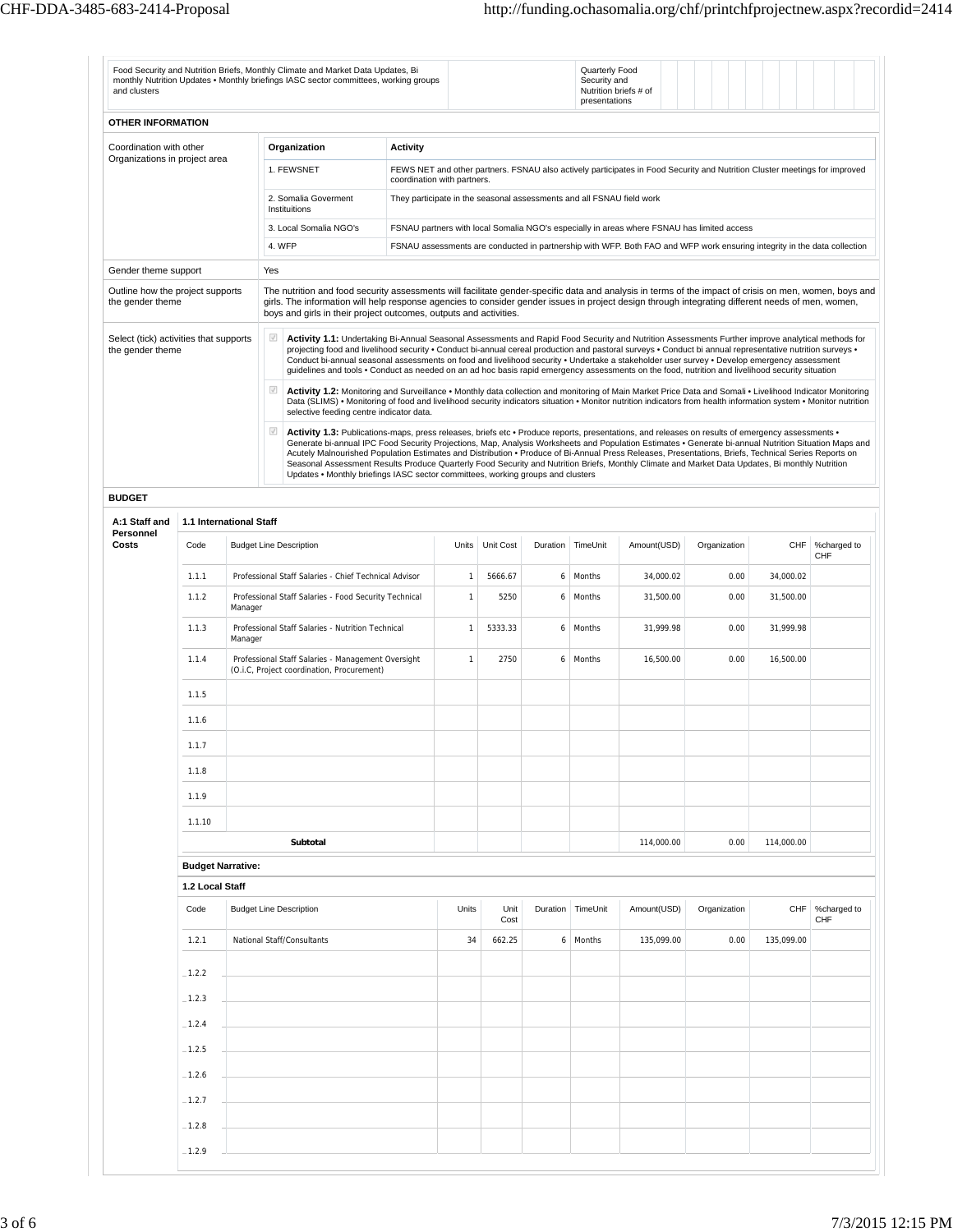| and clusters                                               |                          |         |                                            | Food Security and Nutrition Briefs, Monthly Climate and Market Data Updates, Bi<br>monthly Nutrition Updates . Monthly briefings IASC sector committees, working groups |                                                                                                                                                                                                                                                                                                                                                                                  |                                                                                                                                                           |                |                |          | Quarterly Food<br>Security and<br>Nutrition briefs # of<br>presentations |                                                                                                                                                                                                                                                                                                                                                                                                                                                                                                                                                                                                                                                                                                                                                                                                                                                                                                                                                                                                                                                                                                                                                                                                                                                                                                                                                                                                                                                                                                                                                                            |              |            |                    |  |  |  |
|------------------------------------------------------------|--------------------------|---------|--------------------------------------------|-------------------------------------------------------------------------------------------------------------------------------------------------------------------------|----------------------------------------------------------------------------------------------------------------------------------------------------------------------------------------------------------------------------------------------------------------------------------------------------------------------------------------------------------------------------------|-----------------------------------------------------------------------------------------------------------------------------------------------------------|----------------|----------------|----------|--------------------------------------------------------------------------|----------------------------------------------------------------------------------------------------------------------------------------------------------------------------------------------------------------------------------------------------------------------------------------------------------------------------------------------------------------------------------------------------------------------------------------------------------------------------------------------------------------------------------------------------------------------------------------------------------------------------------------------------------------------------------------------------------------------------------------------------------------------------------------------------------------------------------------------------------------------------------------------------------------------------------------------------------------------------------------------------------------------------------------------------------------------------------------------------------------------------------------------------------------------------------------------------------------------------------------------------------------------------------------------------------------------------------------------------------------------------------------------------------------------------------------------------------------------------------------------------------------------------------------------------------------------------|--------------|------------|--------------------|--|--|--|
| OTHER INFORMATION                                          |                          |         |                                            |                                                                                                                                                                         |                                                                                                                                                                                                                                                                                                                                                                                  |                                                                                                                                                           |                |                |          |                                                                          |                                                                                                                                                                                                                                                                                                                                                                                                                                                                                                                                                                                                                                                                                                                                                                                                                                                                                                                                                                                                                                                                                                                                                                                                                                                                                                                                                                                                                                                                                                                                                                            |              |            |                    |  |  |  |
| Coordination with other                                    |                          |         |                                            | Organization                                                                                                                                                            |                                                                                                                                                                                                                                                                                                                                                                                  | Activity                                                                                                                                                  |                |                |          |                                                                          |                                                                                                                                                                                                                                                                                                                                                                                                                                                                                                                                                                                                                                                                                                                                                                                                                                                                                                                                                                                                                                                                                                                                                                                                                                                                                                                                                                                                                                                                                                                                                                            |              |            |                    |  |  |  |
| Organizations in project area                              |                          |         |                                            | 1. FEWSNET                                                                                                                                                              |                                                                                                                                                                                                                                                                                                                                                                                  | FEWS NET and other partners. FSNAU also actively participates in Food Security and Nutrition Cluster meetings for improved<br>coordination with partners. |                |                |          |                                                                          |                                                                                                                                                                                                                                                                                                                                                                                                                                                                                                                                                                                                                                                                                                                                                                                                                                                                                                                                                                                                                                                                                                                                                                                                                                                                                                                                                                                                                                                                                                                                                                            |              |            |                    |  |  |  |
|                                                            |                          |         |                                            | 2. Somalia Goverment<br>Instituitions                                                                                                                                   |                                                                                                                                                                                                                                                                                                                                                                                  | They participate in the seasonal assessments and all FSNAU field work                                                                                     |                |                |          |                                                                          |                                                                                                                                                                                                                                                                                                                                                                                                                                                                                                                                                                                                                                                                                                                                                                                                                                                                                                                                                                                                                                                                                                                                                                                                                                                                                                                                                                                                                                                                                                                                                                            |              |            |                    |  |  |  |
|                                                            |                          |         | 4. WFP                                     | 3. Local Somalia NGO's                                                                                                                                                  |                                                                                                                                                                                                                                                                                                                                                                                  |                                                                                                                                                           |                |                |          |                                                                          | FSNAU partners with local Somalia NGO's especially in areas where FSNAU has limited access<br>FSNAU assessments are conducted in partnership with WFP. Both FAO and WFP work ensuring integrity in the data collection                                                                                                                                                                                                                                                                                                                                                                                                                                                                                                                                                                                                                                                                                                                                                                                                                                                                                                                                                                                                                                                                                                                                                                                                                                                                                                                                                     |              |            |                    |  |  |  |
| Gender theme support                                       |                          |         | Yes                                        |                                                                                                                                                                         |                                                                                                                                                                                                                                                                                                                                                                                  |                                                                                                                                                           |                |                |          |                                                                          |                                                                                                                                                                                                                                                                                                                                                                                                                                                                                                                                                                                                                                                                                                                                                                                                                                                                                                                                                                                                                                                                                                                                                                                                                                                                                                                                                                                                                                                                                                                                                                            |              |            |                    |  |  |  |
| Outline how the project supports<br>the gender theme       |                          |         |                                            |                                                                                                                                                                         | The nutrition and food security assessments will facilitate gender-specific data and analysis in terms of the impact of crisis on men, women, boys and<br>girls. The information will help response agencies to consider gender issues in project design through integrating different needs of men, women,<br>boys and girls in their project outcomes, outputs and activities. |                                                                                                                                                           |                |                |          |                                                                          |                                                                                                                                                                                                                                                                                                                                                                                                                                                                                                                                                                                                                                                                                                                                                                                                                                                                                                                                                                                                                                                                                                                                                                                                                                                                                                                                                                                                                                                                                                                                                                            |              |            |                    |  |  |  |
| Select (tick) activities that supports<br>the gender theme |                          |         | $\mathcal{A}$<br>$\mathcal{J}$<br>$\omega$ | selective feeding centre indicator data.<br>Updates . Monthly briefings IASC sector committees, working groups and clusters                                             |                                                                                                                                                                                                                                                                                                                                                                                  |                                                                                                                                                           |                |                |          |                                                                          | Activity 1.1: Undertaking Bi-Annual Seasonal Assessments and Rapid Food Security and Nutrition Assessments Further improve analytical methods for<br>projecting food and livelihood security . Conduct bi-annual cereal production and pastoral surveys . Conduct bi annual representative nutrition surveys .<br>Conduct bi-annual seasonal assessments on food and livelihood security . Undertake a stakeholder user survey . Develop emergency assessment<br>quidelines and tools . Conduct as needed on an ad hoc basis rapid emergency assessments on the food, nutrition and livelihood security situation<br>Activity 1.2: Monitoring and Surveillance . Monthly data collection and monitoring of Main Market Price Data and Somali . Livelihood Indicator Monitoring<br>Data (SLIMS) . Monitoring of food and livelihood security indicators situation . Monitor nutrition indicators from health information system . Monitor nutrition<br>Activity 1.3: Publications-maps, press releases, briefs etc · Produce reports, presentations, and releases on results of emergency assessments ·<br>Generate bi-annual IPC Food Security Projections, Map, Analysis Worksheets and Population Estimates . Generate bi-annual Nutrition Situation Maps and<br>Acutely Malnourished Population Estimates and Distribution · Produce of Bi-Annual Press Releases, Presentations, Briefs, Technical Series Reports on<br>Seasonal Assessment Results Produce Quarterly Food Security and Nutrition Briefs, Monthly Climate and Market Data Updates, Bi monthly Nutrition |              |            |                    |  |  |  |
| <b>BUDGET</b>                                              |                          |         |                                            |                                                                                                                                                                         |                                                                                                                                                                                                                                                                                                                                                                                  |                                                                                                                                                           |                |                |          |                                                                          |                                                                                                                                                                                                                                                                                                                                                                                                                                                                                                                                                                                                                                                                                                                                                                                                                                                                                                                                                                                                                                                                                                                                                                                                                                                                                                                                                                                                                                                                                                                                                                            |              |            |                    |  |  |  |
| A:1 Staff and<br>Personnel                                 | 1.1 International Staff  |         |                                            |                                                                                                                                                                         |                                                                                                                                                                                                                                                                                                                                                                                  |                                                                                                                                                           |                |                |          |                                                                          |                                                                                                                                                                                                                                                                                                                                                                                                                                                                                                                                                                                                                                                                                                                                                                                                                                                                                                                                                                                                                                                                                                                                                                                                                                                                                                                                                                                                                                                                                                                                                                            |              |            |                    |  |  |  |
| Costs                                                      | Code                     |         |                                            | <b>Budget Line Description</b>                                                                                                                                          |                                                                                                                                                                                                                                                                                                                                                                                  |                                                                                                                                                           | Units          | Unit Cost      | Duration | TimeUnit                                                                 | Amount(USD)                                                                                                                                                                                                                                                                                                                                                                                                                                                                                                                                                                                                                                                                                                                                                                                                                                                                                                                                                                                                                                                                                                                                                                                                                                                                                                                                                                                                                                                                                                                                                                | Organization | CHF        | %charged to<br>CHF |  |  |  |
|                                                            | 1.1.1                    |         |                                            | Professional Staff Salaries - Chief Technical Advisor                                                                                                                   |                                                                                                                                                                                                                                                                                                                                                                                  |                                                                                                                                                           | $\overline{1}$ | 5666.67        | 6        | Months                                                                   | 34,000.02                                                                                                                                                                                                                                                                                                                                                                                                                                                                                                                                                                                                                                                                                                                                                                                                                                                                                                                                                                                                                                                                                                                                                                                                                                                                                                                                                                                                                                                                                                                                                                  | 0.00         | 34,000.02  |                    |  |  |  |
|                                                            | 1.1.2                    | Manager |                                            | Professional Staff Salaries - Food Security Technical                                                                                                                   |                                                                                                                                                                                                                                                                                                                                                                                  |                                                                                                                                                           | $\overline{1}$ | 5250           | 6        | Months                                                                   | 31,500.00                                                                                                                                                                                                                                                                                                                                                                                                                                                                                                                                                                                                                                                                                                                                                                                                                                                                                                                                                                                                                                                                                                                                                                                                                                                                                                                                                                                                                                                                                                                                                                  | 0.00         | 31,500.00  |                    |  |  |  |
|                                                            | 1.1.3                    | Manager |                                            | Professional Staff Salaries - Nutrition Technical                                                                                                                       |                                                                                                                                                                                                                                                                                                                                                                                  |                                                                                                                                                           | $\mathbf{1}$   | 5333.33        | 6        | Months                                                                   | 31,999.98                                                                                                                                                                                                                                                                                                                                                                                                                                                                                                                                                                                                                                                                                                                                                                                                                                                                                                                                                                                                                                                                                                                                                                                                                                                                                                                                                                                                                                                                                                                                                                  | 0.00         | 31,999.98  |                    |  |  |  |
|                                                            | 1.1.4                    |         |                                            | Professional Staff Salaries - Management Oversight<br>(O.i.C, Project coordination, Procurement)                                                                        |                                                                                                                                                                                                                                                                                                                                                                                  |                                                                                                                                                           | $\mathbf{1}$   | 2750           | 6        | Months                                                                   | 16,500.00                                                                                                                                                                                                                                                                                                                                                                                                                                                                                                                                                                                                                                                                                                                                                                                                                                                                                                                                                                                                                                                                                                                                                                                                                                                                                                                                                                                                                                                                                                                                                                  | 0.00         | 16,500.00  |                    |  |  |  |
|                                                            | 1.1.5                    |         |                                            |                                                                                                                                                                         |                                                                                                                                                                                                                                                                                                                                                                                  |                                                                                                                                                           |                |                |          |                                                                          |                                                                                                                                                                                                                                                                                                                                                                                                                                                                                                                                                                                                                                                                                                                                                                                                                                                                                                                                                                                                                                                                                                                                                                                                                                                                                                                                                                                                                                                                                                                                                                            |              |            |                    |  |  |  |
|                                                            | 1.1.6                    |         |                                            |                                                                                                                                                                         |                                                                                                                                                                                                                                                                                                                                                                                  |                                                                                                                                                           |                |                |          |                                                                          |                                                                                                                                                                                                                                                                                                                                                                                                                                                                                                                                                                                                                                                                                                                                                                                                                                                                                                                                                                                                                                                                                                                                                                                                                                                                                                                                                                                                                                                                                                                                                                            |              |            |                    |  |  |  |
|                                                            | 1.1.7                    |         |                                            |                                                                                                                                                                         |                                                                                                                                                                                                                                                                                                                                                                                  |                                                                                                                                                           |                |                |          |                                                                          |                                                                                                                                                                                                                                                                                                                                                                                                                                                                                                                                                                                                                                                                                                                                                                                                                                                                                                                                                                                                                                                                                                                                                                                                                                                                                                                                                                                                                                                                                                                                                                            |              |            |                    |  |  |  |
|                                                            | 1.1.8                    |         |                                            |                                                                                                                                                                         |                                                                                                                                                                                                                                                                                                                                                                                  |                                                                                                                                                           |                |                |          |                                                                          |                                                                                                                                                                                                                                                                                                                                                                                                                                                                                                                                                                                                                                                                                                                                                                                                                                                                                                                                                                                                                                                                                                                                                                                                                                                                                                                                                                                                                                                                                                                                                                            |              |            |                    |  |  |  |
|                                                            | 1.1.9                    |         |                                            |                                                                                                                                                                         |                                                                                                                                                                                                                                                                                                                                                                                  |                                                                                                                                                           |                |                |          |                                                                          |                                                                                                                                                                                                                                                                                                                                                                                                                                                                                                                                                                                                                                                                                                                                                                                                                                                                                                                                                                                                                                                                                                                                                                                                                                                                                                                                                                                                                                                                                                                                                                            |              |            |                    |  |  |  |
|                                                            | 1.1.10                   |         |                                            |                                                                                                                                                                         |                                                                                                                                                                                                                                                                                                                                                                                  |                                                                                                                                                           |                |                |          |                                                                          |                                                                                                                                                                                                                                                                                                                                                                                                                                                                                                                                                                                                                                                                                                                                                                                                                                                                                                                                                                                                                                                                                                                                                                                                                                                                                                                                                                                                                                                                                                                                                                            |              |            |                    |  |  |  |
|                                                            |                          |         |                                            | Subtotal                                                                                                                                                                |                                                                                                                                                                                                                                                                                                                                                                                  |                                                                                                                                                           |                |                |          |                                                                          | 114,000.00                                                                                                                                                                                                                                                                                                                                                                                                                                                                                                                                                                                                                                                                                                                                                                                                                                                                                                                                                                                                                                                                                                                                                                                                                                                                                                                                                                                                                                                                                                                                                                 | 0.00         | 114,000.00 |                    |  |  |  |
|                                                            | <b>Budget Narrative:</b> |         |                                            |                                                                                                                                                                         |                                                                                                                                                                                                                                                                                                                                                                                  |                                                                                                                                                           |                |                |          |                                                                          |                                                                                                                                                                                                                                                                                                                                                                                                                                                                                                                                                                                                                                                                                                                                                                                                                                                                                                                                                                                                                                                                                                                                                                                                                                                                                                                                                                                                                                                                                                                                                                            |              |            |                    |  |  |  |
|                                                            | 1.2 Local Staff<br>Code  |         |                                            | <b>Budget Line Description</b>                                                                                                                                          |                                                                                                                                                                                                                                                                                                                                                                                  |                                                                                                                                                           | Units          | Unit           |          | Duration TimeUnit                                                        | Amount(USD)                                                                                                                                                                                                                                                                                                                                                                                                                                                                                                                                                                                                                                                                                                                                                                                                                                                                                                                                                                                                                                                                                                                                                                                                                                                                                                                                                                                                                                                                                                                                                                | Organization |            | CHF %charged to    |  |  |  |
|                                                            | 1.2.1                    |         |                                            | National Staff/Consultants                                                                                                                                              |                                                                                                                                                                                                                                                                                                                                                                                  |                                                                                                                                                           | 34             | Cost<br>662.25 |          | 6 Months                                                                 | 135,099.00                                                                                                                                                                                                                                                                                                                                                                                                                                                                                                                                                                                                                                                                                                                                                                                                                                                                                                                                                                                                                                                                                                                                                                                                                                                                                                                                                                                                                                                                                                                                                                 | 0.00         | 135,099.00 | CHF                |  |  |  |
|                                                            |                          |         |                                            |                                                                                                                                                                         |                                                                                                                                                                                                                                                                                                                                                                                  |                                                                                                                                                           |                |                |          |                                                                          |                                                                                                                                                                                                                                                                                                                                                                                                                                                                                                                                                                                                                                                                                                                                                                                                                                                                                                                                                                                                                                                                                                                                                                                                                                                                                                                                                                                                                                                                                                                                                                            |              |            |                    |  |  |  |
|                                                            | $-1.2.2$                 |         |                                            |                                                                                                                                                                         |                                                                                                                                                                                                                                                                                                                                                                                  |                                                                                                                                                           |                |                |          |                                                                          |                                                                                                                                                                                                                                                                                                                                                                                                                                                                                                                                                                                                                                                                                                                                                                                                                                                                                                                                                                                                                                                                                                                                                                                                                                                                                                                                                                                                                                                                                                                                                                            |              |            |                    |  |  |  |
|                                                            | $-1.2.3$                 |         |                                            |                                                                                                                                                                         |                                                                                                                                                                                                                                                                                                                                                                                  |                                                                                                                                                           |                |                |          |                                                                          |                                                                                                                                                                                                                                                                                                                                                                                                                                                                                                                                                                                                                                                                                                                                                                                                                                                                                                                                                                                                                                                                                                                                                                                                                                                                                                                                                                                                                                                                                                                                                                            |              |            |                    |  |  |  |
|                                                            | $-1.2.4$                 |         |                                            |                                                                                                                                                                         |                                                                                                                                                                                                                                                                                                                                                                                  |                                                                                                                                                           |                |                |          |                                                                          |                                                                                                                                                                                                                                                                                                                                                                                                                                                                                                                                                                                                                                                                                                                                                                                                                                                                                                                                                                                                                                                                                                                                                                                                                                                                                                                                                                                                                                                                                                                                                                            |              |            |                    |  |  |  |
|                                                            | $-1.2.5$                 |         |                                            |                                                                                                                                                                         |                                                                                                                                                                                                                                                                                                                                                                                  |                                                                                                                                                           |                |                |          |                                                                          |                                                                                                                                                                                                                                                                                                                                                                                                                                                                                                                                                                                                                                                                                                                                                                                                                                                                                                                                                                                                                                                                                                                                                                                                                                                                                                                                                                                                                                                                                                                                                                            |              |            |                    |  |  |  |
|                                                            | $-1.2.6$                 |         |                                            |                                                                                                                                                                         |                                                                                                                                                                                                                                                                                                                                                                                  |                                                                                                                                                           |                |                |          |                                                                          |                                                                                                                                                                                                                                                                                                                                                                                                                                                                                                                                                                                                                                                                                                                                                                                                                                                                                                                                                                                                                                                                                                                                                                                                                                                                                                                                                                                                                                                                                                                                                                            |              |            |                    |  |  |  |
|                                                            | $-1.2.7$                 |         |                                            |                                                                                                                                                                         |                                                                                                                                                                                                                                                                                                                                                                                  |                                                                                                                                                           |                |                |          |                                                                          |                                                                                                                                                                                                                                                                                                                                                                                                                                                                                                                                                                                                                                                                                                                                                                                                                                                                                                                                                                                                                                                                                                                                                                                                                                                                                                                                                                                                                                                                                                                                                                            |              |            |                    |  |  |  |
|                                                            | $-1.2.8$                 |         |                                            |                                                                                                                                                                         |                                                                                                                                                                                                                                                                                                                                                                                  |                                                                                                                                                           |                |                |          |                                                                          |                                                                                                                                                                                                                                                                                                                                                                                                                                                                                                                                                                                                                                                                                                                                                                                                                                                                                                                                                                                                                                                                                                                                                                                                                                                                                                                                                                                                                                                                                                                                                                            |              |            |                    |  |  |  |
|                                                            | $-1.2.9$                 |         |                                            |                                                                                                                                                                         |                                                                                                                                                                                                                                                                                                                                                                                  |                                                                                                                                                           |                |                |          |                                                                          |                                                                                                                                                                                                                                                                                                                                                                                                                                                                                                                                                                                                                                                                                                                                                                                                                                                                                                                                                                                                                                                                                                                                                                                                                                                                                                                                                                                                                                                                                                                                                                            |              |            |                    |  |  |  |
|                                                            |                          |         |                                            |                                                                                                                                                                         |                                                                                                                                                                                                                                                                                                                                                                                  |                                                                                                                                                           |                |                |          |                                                                          |                                                                                                                                                                                                                                                                                                                                                                                                                                                                                                                                                                                                                                                                                                                                                                                                                                                                                                                                                                                                                                                                                                                                                                                                                                                                                                                                                                                                                                                                                                                                                                            |              |            |                    |  |  |  |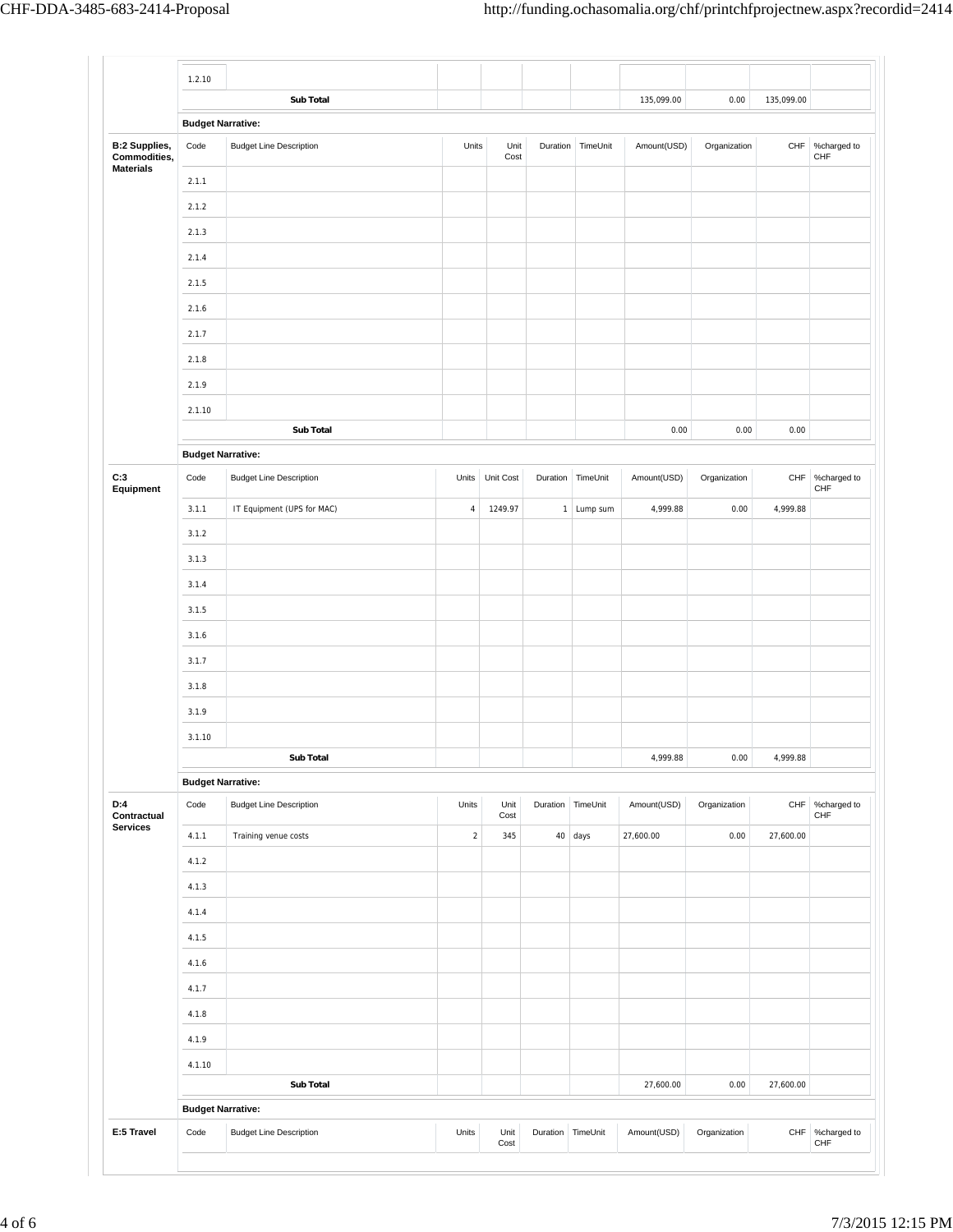|                                  | 1.2.10                   | Sub Total                      |                |                 |                   |                   | 135,099.00  | 0.00         | 135,099.00  |                        |
|----------------------------------|--------------------------|--------------------------------|----------------|-----------------|-------------------|-------------------|-------------|--------------|-------------|------------------------|
|                                  |                          |                                |                |                 |                   |                   |             |              |             |                        |
| <b>B:2 Supplies,</b>             | <b>Budget Narrative:</b> |                                |                |                 |                   |                   |             |              |             |                        |
| Commodities,<br><b>Materials</b> | Code                     | <b>Budget Line Description</b> | Units          | Unit<br>Cost    |                   | Duration TimeUnit | Amount(USD) | Organization | CHF         | %charged to<br>CHF     |
|                                  | 2.1.1                    |                                |                |                 |                   |                   |             |              |             |                        |
|                                  | 2.1.2                    |                                |                |                 |                   |                   |             |              |             |                        |
|                                  | 2.1.3                    |                                |                |                 |                   |                   |             |              |             |                        |
|                                  | 2.1.4                    |                                |                |                 |                   |                   |             |              |             |                        |
|                                  | 2.1.5                    |                                |                |                 |                   |                   |             |              |             |                        |
|                                  | 2.1.6                    |                                |                |                 |                   |                   |             |              |             |                        |
|                                  | 2.1.7                    |                                |                |                 |                   |                   |             |              |             |                        |
|                                  | 2.1.8                    |                                |                |                 |                   |                   |             |              |             |                        |
|                                  | 2.1.9                    |                                |                |                 |                   |                   |             |              |             |                        |
|                                  | 2.1.10                   |                                |                |                 |                   |                   |             |              |             |                        |
|                                  |                          | Sub Total                      |                |                 |                   |                   | 0.00        | 0.00         | 0.00        |                        |
|                                  | <b>Budget Narrative:</b> |                                |                |                 |                   |                   |             |              |             |                        |
| C:3<br>Equipment                 | Code                     | <b>Budget Line Description</b> |                | Units Unit Cost |                   | Duration TimeUnit | Amount(USD) | Organization | ${\sf CHF}$ | %charged to<br>CHF     |
|                                  | 3.1.1                    | IT Equipment (UPS for MAC)     | $\overline{4}$ | 1249.97         |                   | 1 Lump sum        | 4,999.88    | 0.00         | 4,999.88    |                        |
|                                  | 3.1.2                    |                                |                |                 |                   |                   |             |              |             |                        |
|                                  | 3.1.3                    |                                |                |                 |                   |                   |             |              |             |                        |
|                                  | 3.1.4                    |                                |                |                 |                   |                   |             |              |             |                        |
|                                  | 3.1.5                    |                                |                |                 |                   |                   |             |              |             |                        |
|                                  | 3.1.6                    |                                |                |                 |                   |                   |             |              |             |                        |
|                                  | 3.1.7                    |                                |                |                 |                   |                   |             |              |             |                        |
|                                  | 3.1.8                    |                                |                |                 |                   |                   |             |              |             |                        |
|                                  | 3.1.9                    |                                |                |                 |                   |                   |             |              |             |                        |
|                                  |                          |                                |                |                 |                   |                   |             |              |             |                        |
|                                  | 3.1.10                   | Sub Total                      |                |                 |                   |                   | 4,999.88    | 0.00         | 4,999.88    |                        |
|                                  | <b>Budget Narrative:</b> |                                |                |                 |                   |                   |             |              |             |                        |
| D:4                              | Code                     | <b>Budget Line Description</b> | Units          | Unit            |                   | Duration TimeUnit | Amount(USD) | Organization | CHF         | %charged to<br>CHF     |
| Contractual<br><b>Services</b>   | 4.1.1                    | Training venue costs           | $\sqrt{2}$     | Cost<br>345     |                   | $40$ days         | 27,600.00   | 0.00         | 27,600.00   |                        |
|                                  | 4.1.2                    |                                |                |                 |                   |                   |             |              |             |                        |
|                                  | 4.1.3                    |                                |                |                 |                   |                   |             |              |             |                        |
|                                  | 4.1.4                    |                                |                |                 |                   |                   |             |              |             |                        |
|                                  |                          |                                |                |                 |                   |                   |             |              |             |                        |
|                                  | 4.1.5                    |                                |                |                 |                   |                   |             |              |             |                        |
|                                  | 4.1.6                    |                                |                |                 |                   |                   |             |              |             |                        |
|                                  | 4.1.7                    |                                |                |                 |                   |                   |             |              |             |                        |
|                                  | 4.1.8                    |                                |                |                 |                   |                   |             |              |             |                        |
|                                  | 4.1.9                    |                                |                |                 |                   |                   |             |              |             |                        |
|                                  | 4.1.10                   |                                |                |                 |                   |                   |             |              |             |                        |
|                                  |                          | Sub Total                      |                |                 |                   |                   | 27,600.00   | 0.00         | 27,600.00   |                        |
|                                  | <b>Budget Narrative:</b> |                                |                |                 |                   |                   |             |              |             |                        |
| E:5 Travel                       | Code                     | <b>Budget Line Description</b> | Units          | Unit<br>Cost    | Duration TimeUnit |                   | Amount(USD) | Organization |             | CHF %charged to<br>CHF |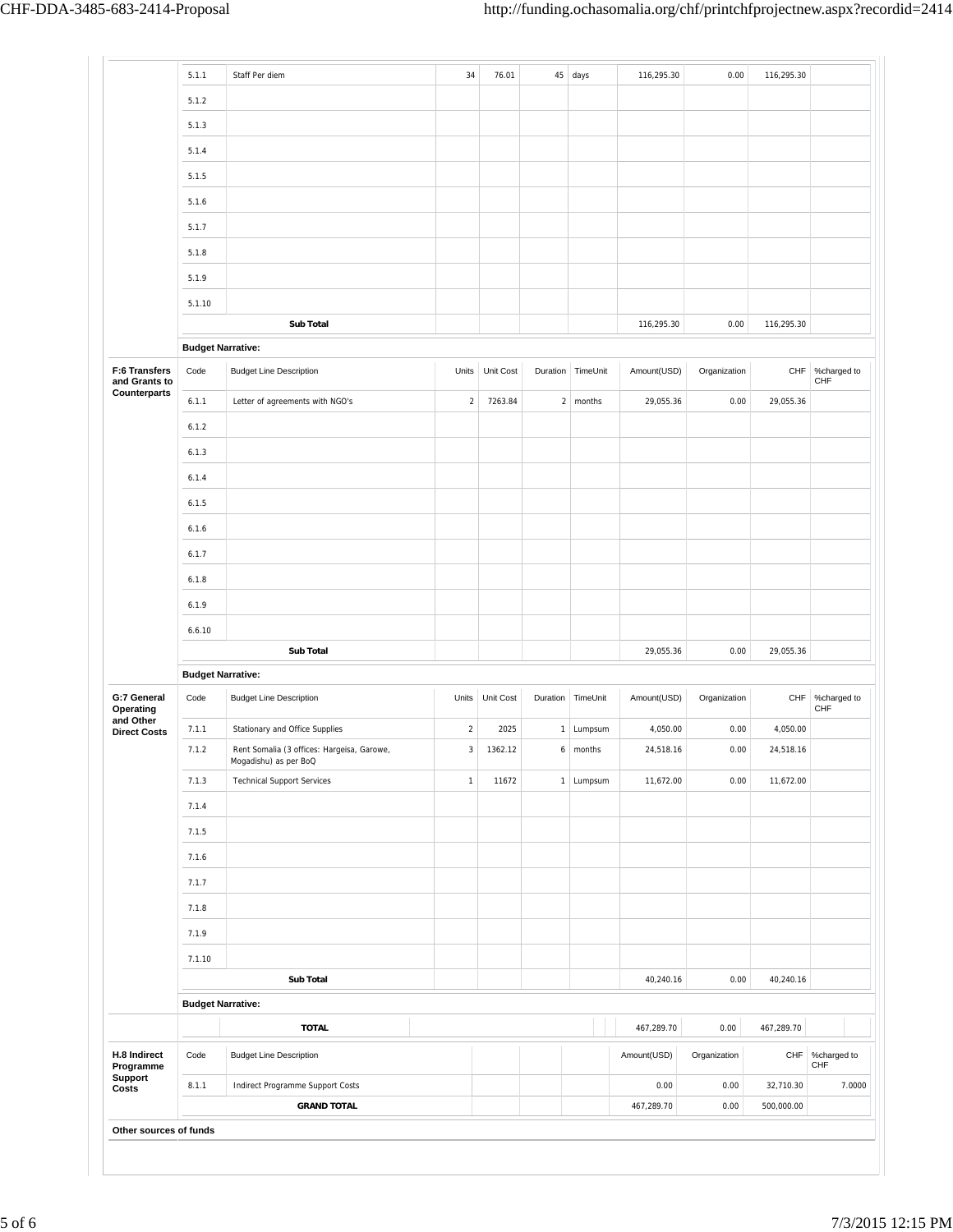|                                                      | 5.1.1                    | Staff Per diem                                                      | 34           | 76.01     |                | 45 days  | 116,295.30  | 0.00         | 116,295.30 |                    |
|------------------------------------------------------|--------------------------|---------------------------------------------------------------------|--------------|-----------|----------------|----------|-------------|--------------|------------|--------------------|
|                                                      | 5.1.2                    |                                                                     |              |           |                |          |             |              |            |                    |
|                                                      | 5.1.3                    |                                                                     |              |           |                |          |             |              |            |                    |
|                                                      | 5.1.4                    |                                                                     |              |           |                |          |             |              |            |                    |
|                                                      | 5.1.5                    |                                                                     |              |           |                |          |             |              |            |                    |
|                                                      |                          |                                                                     |              |           |                |          |             |              |            |                    |
|                                                      | 5.1.6                    |                                                                     |              |           |                |          |             |              |            |                    |
|                                                      | 5.1.7                    |                                                                     |              |           |                |          |             |              |            |                    |
|                                                      | 5.1.8                    |                                                                     |              |           |                |          |             |              |            |                    |
|                                                      | 5.1.9                    |                                                                     |              |           |                |          |             |              |            |                    |
|                                                      | 5.1.10                   |                                                                     |              |           |                |          |             |              |            |                    |
|                                                      |                          | Sub Total                                                           |              |           |                |          | 116,295.30  | 0.00         | 116,295.30 |                    |
|                                                      | <b>Budget Narrative:</b> |                                                                     |              |           |                |          |             |              |            |                    |
| F:6 Transfers<br>and Grants to                       | Code                     | <b>Budget Line Description</b>                                      | Units        | Unit Cost | Duration       | TimeUnit | Amount(USD) | Organization | CHF        | %charged to<br>CHF |
| Counterparts                                         | 6.1.1                    | Letter of agreements with NGO's                                     | $\sqrt{2}$   | 7263.84   | $\overline{a}$ | months   | 29,055.36   | 0.00         | 29,055.36  |                    |
|                                                      | 6.1.2                    |                                                                     |              |           |                |          |             |              |            |                    |
|                                                      | 6.1.3                    |                                                                     |              |           |                |          |             |              |            |                    |
|                                                      | 6.1.4                    |                                                                     |              |           |                |          |             |              |            |                    |
|                                                      | 6.1.5                    |                                                                     |              |           |                |          |             |              |            |                    |
|                                                      | 6.1.6                    |                                                                     |              |           |                |          |             |              |            |                    |
|                                                      | 6.1.7                    |                                                                     |              |           |                |          |             |              |            |                    |
|                                                      |                          |                                                                     |              |           |                |          |             |              |            |                    |
|                                                      | 6.1.8                    |                                                                     |              |           |                |          |             |              |            |                    |
|                                                      | 6.1.9                    |                                                                     |              |           |                |          |             |              |            |                    |
|                                                      | 6.6.10                   |                                                                     |              |           |                |          |             |              |            |                    |
|                                                      |                          | <b>Sub Total</b>                                                    |              |           |                |          | 29,055.36   | 0.00         | 29,055.36  |                    |
|                                                      | <b>Budget Narrative:</b> |                                                                     |              |           |                |          |             |              |            |                    |
| G:7 General<br>Operating                             | Code                     | <b>Budget Line Description</b>                                      | Units        | Unit Cost | Duration       | TimeUnit | Amount(USD) | Organization | <b>CHF</b> | %charged to<br>CHF |
| and Other<br><b>Direct Costs</b>                     | 7.1.1                    | Stationary and Office Supplies                                      | $\sqrt{2}$   | 2025      | 1              | Lumpsum  | 4,050.00    | 0.00         | 4,050.00   |                    |
|                                                      | 7.1.2                    | Rent Somalia (3 offices: Hargeisa, Garowe,<br>Mogadishu) as per BoQ | $\mathsf 3$  | 1362.12   |                | 6 months | 24,518.16   | 0.00         | 24,518.16  |                    |
|                                                      | 7.1.3                    | <b>Technical Support Services</b>                                   | $\mathbf{1}$ | 11672     | 1              | Lumpsum  | 11,672.00   | 0.00         | 11,672.00  |                    |
|                                                      | 7.1.4                    |                                                                     |              |           |                |          |             |              |            |                    |
|                                                      | 7.1.5                    |                                                                     |              |           |                |          |             |              |            |                    |
|                                                      | 7.1.6                    |                                                                     |              |           |                |          |             |              |            |                    |
|                                                      | 7.1.7                    |                                                                     |              |           |                |          |             |              |            |                    |
|                                                      | 7.1.8                    |                                                                     |              |           |                |          |             |              |            |                    |
|                                                      | 7.1.9                    |                                                                     |              |           |                |          |             |              |            |                    |
|                                                      | 7.1.10                   |                                                                     |              |           |                |          |             |              |            |                    |
|                                                      |                          | Sub Total                                                           |              |           |                |          | 40,240.16   | 0.00         | 40,240.16  |                    |
|                                                      | <b>Budget Narrative:</b> |                                                                     |              |           |                |          |             |              |            |                    |
|                                                      |                          | <b>TOTAL</b>                                                        |              |           |                |          | 467,289.70  | 0.00         | 467,289.70 |                    |
|                                                      |                          |                                                                     |              |           |                |          |             |              |            |                    |
|                                                      | Code                     | <b>Budget Line Description</b>                                      |              |           |                |          | Amount(USD) | Organization |            | CHF %charged to    |
| H.8 Indirect<br>Programme<br><b>Support</b><br>Costs | 8.1.1                    | Indirect Programme Support Costs                                    |              |           |                |          | 0.00        | 0.00         | 32,710.30  | CHF<br>7.0000      |